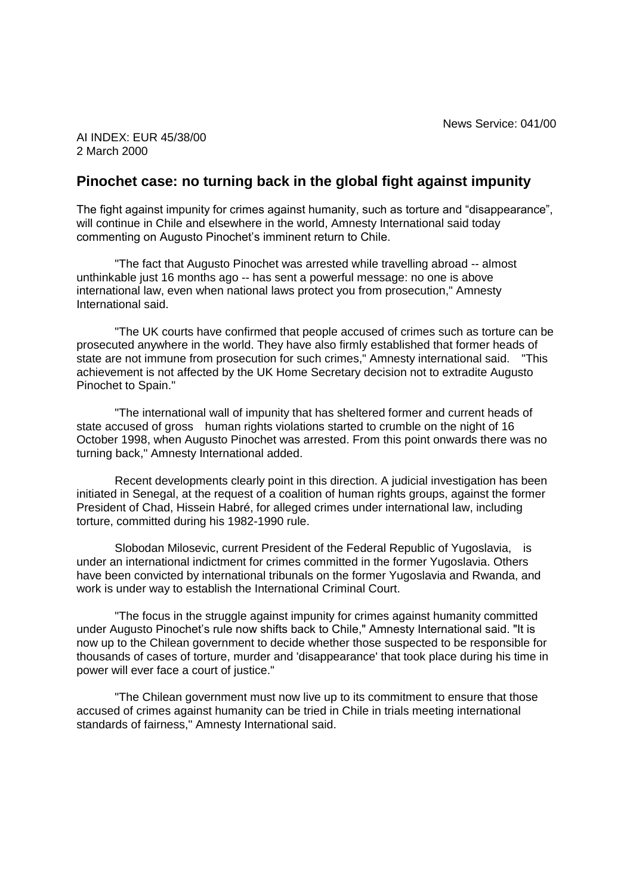AI INDEX: EUR 45/38/00 2 March 2000

## **Pinochet case: no turning back in the global fight against impunity**

The fight against impunity for crimes against humanity, such as torture and "disappearance", will continue in Chile and elsewhere in the world, Amnesty International said today commenting on Augusto Pinochet's imminent return to Chile.

"The fact that Augusto Pinochet was arrested while travelling abroad -- almost unthinkable just 16 months ago -- has sent a powerful message: no one is above international law, even when national laws protect you from prosecution," Amnesty International said.

"The UK courts have confirmed that people accused of crimes such as torture can be prosecuted anywhere in the world. They have also firmly established that former heads of state are not immune from prosecution for such crimes," Amnesty international said. "This achievement is not affected by the UK Home Secretary decision not to extradite Augusto Pinochet to Spain."

"The international wall of impunity that has sheltered former and current heads of state accused of gross human rights violations started to crumble on the night of 16 October 1998, when Augusto Pinochet was arrested. From this point onwards there was no turning back," Amnesty International added.

Recent developments clearly point in this direction. A judicial investigation has been initiated in Senegal, at the request of a coalition of human rights groups, against the former President of Chad, Hissein Habré, for alleged crimes under international law, including torture, committed during his 1982-1990 rule.

Slobodan Milosevic, current President of the Federal Republic of Yugoslavia, is under an international indictment for crimes committed in the former Yugoslavia. Others have been convicted by international tribunals on the former Yugoslavia and Rwanda, and work is under way to establish the International Criminal Court.

"The focus in the struggle against impunity for crimes against humanity committed under Augusto Pinochet's rule now shifts back to Chile," Amnesty International said. "It is now up to the Chilean government to decide whether those suspected to be responsible for thousands of cases of torture, murder and 'disappearance' that took place during his time in power will ever face a court of justice."

"The Chilean government must now live up to its commitment to ensure that those accused of crimes against humanity can be tried in Chile in trials meeting international standards of fairness," Amnesty International said.